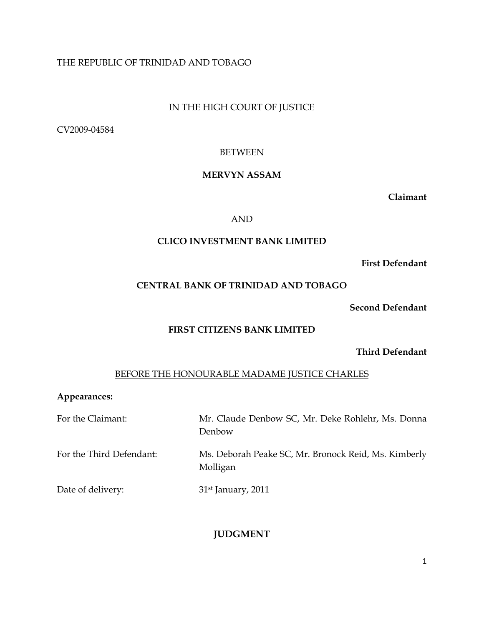# THE REPUBLIC OF TRINIDAD AND TOBAGO

# IN THE HIGH COURT OF JUSTICE

CV2009-04584

## BETWEEN

# MERVYN ASSAM

Claimant

## AND

### CLICO INVESTMENT BANK LIMITED

#### First Defendant

# CENTRAL BANK OF TRINIDAD AND TOBAGO

Second Defendant

#### FIRST CITIZENS BANK LIMITED

Third Defendant

## BEFORE THE HONOURABLE MADAME JUSTICE CHARLES

#### Appearances:

| For the Claimant:        | Mr. Claude Denbow SC, Mr. Deke Rohlehr, Ms. Donna<br>Denbow      |
|--------------------------|------------------------------------------------------------------|
| For the Third Defendant: | Ms. Deborah Peake SC, Mr. Bronock Reid, Ms. Kimberly<br>Molligan |
| Date of delivery:        | $31st$ January, 2011                                             |

# JUDGMENT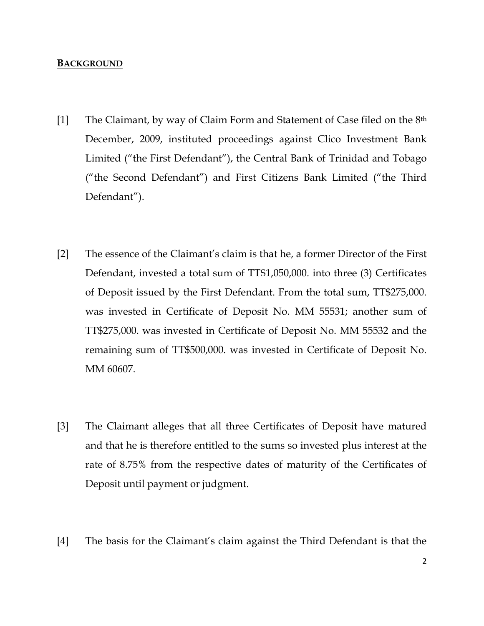## BACKGROUND

- [1] The Claimant, by way of Claim Form and Statement of Case filed on the 8th December, 2009, instituted proceedings against Clico Investment Bank Limited ("the First Defendant"), the Central Bank of Trinidad and Tobago ("the Second Defendant") and First Citizens Bank Limited ("the Third Defendant").
- [2] The essence of the Claimant's claim is that he, a former Director of the First Defendant, invested a total sum of TT\$1,050,000. into three (3) Certificates of Deposit issued by the First Defendant. From the total sum, TT\$275,000. was invested in Certificate of Deposit No. MM 55531; another sum of TT\$275,000. was invested in Certificate of Deposit No. MM 55532 and the remaining sum of TT\$500,000. was invested in Certificate of Deposit No. MM 60607.
- [3] The Claimant alleges that all three Certificates of Deposit have matured and that he is therefore entitled to the sums so invested plus interest at the rate of 8.75% from the respective dates of maturity of the Certificates of Deposit until payment or judgment.
- [4] The basis for the Claimant's claim against the Third Defendant is that the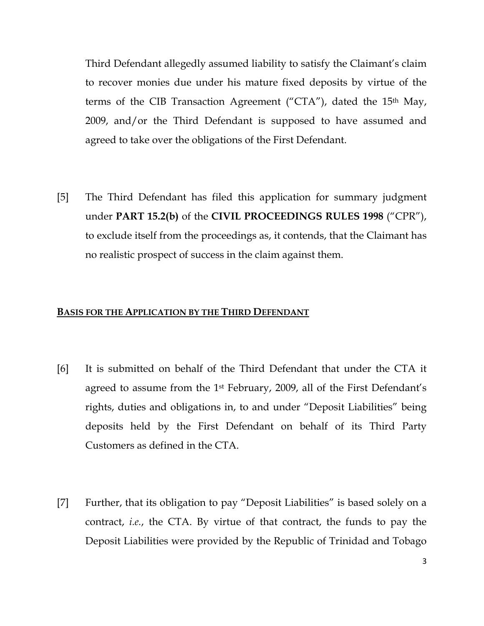Third Defendant allegedly assumed liability to satisfy the Claimant's claim to recover monies due under his mature fixed deposits by virtue of the terms of the CIB Transaction Agreement ("CTA"), dated the 15th May, 2009, and/or the Third Defendant is supposed to have assumed and agreed to take over the obligations of the First Defendant.

[5] The Third Defendant has filed this application for summary judgment under PART 15.2(b) of the CIVIL PROCEEDINGS RULES 1998 ("CPR"), to exclude itself from the proceedings as, it contends, that the Claimant has no realistic prospect of success in the claim against them.

## BASIS FOR THE APPLICATION BY THE THIRD DEFENDANT

- [6] It is submitted on behalf of the Third Defendant that under the CTA it agreed to assume from the 1st February, 2009, all of the First Defendant's rights, duties and obligations in, to and under "Deposit Liabilities" being deposits held by the First Defendant on behalf of its Third Party Customers as defined in the CTA.
- [7] Further, that its obligation to pay "Deposit Liabilities" is based solely on a contract, i.e., the CTA. By virtue of that contract, the funds to pay the Deposit Liabilities were provided by the Republic of Trinidad and Tobago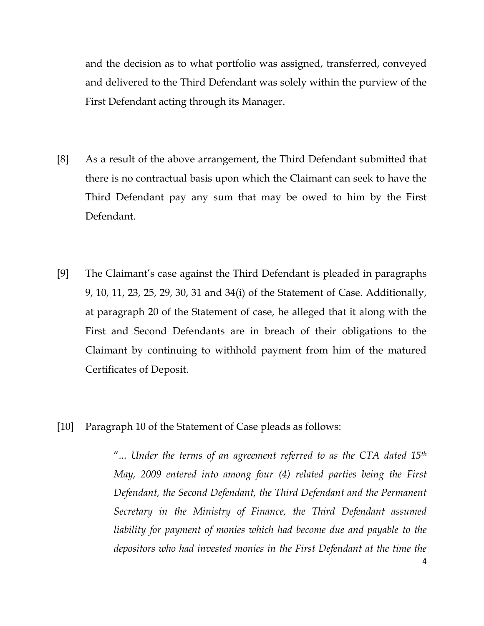and the decision as to what portfolio was assigned, transferred, conveyed and delivered to the Third Defendant was solely within the purview of the First Defendant acting through its Manager.

- [8] As a result of the above arrangement, the Third Defendant submitted that there is no contractual basis upon which the Claimant can seek to have the Third Defendant pay any sum that may be owed to him by the First Defendant.
- [9] The Claimant's case against the Third Defendant is pleaded in paragraphs 9, 10, 11, 23, 25, 29, 30, 31 and 34(i) of the Statement of Case. Additionally, at paragraph 20 of the Statement of case, he alleged that it along with the First and Second Defendants are in breach of their obligations to the Claimant by continuing to withhold payment from him of the matured Certificates of Deposit.
- [10] Paragraph 10 of the Statement of Case pleads as follows:

"... Under the terms of an agreement referred to as the CTA dated  $15<sup>th</sup>$ May, 2009 entered into among four (4) related parties being the First Defendant, the Second Defendant, the Third Defendant and the Permanent Secretary in the Ministry of Finance, the Third Defendant assumed liability for payment of monies which had become due and payable to the depositors who had invested monies in the First Defendant at the time the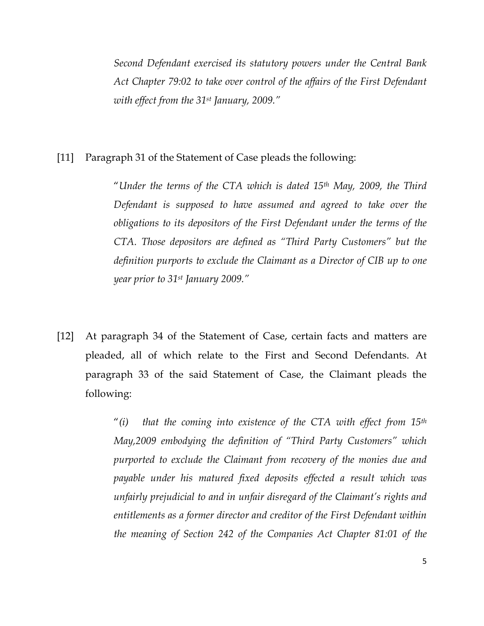Second Defendant exercised its statutory powers under the Central Bank Act Chapter 79:02 to take over control of the affairs of the First Defendant with effect from the 31<sup>st</sup> January, 2009."

# [11] Paragraph 31 of the Statement of Case pleads the following:

"Under the terms of the CTA which is dated  $15<sup>th</sup>$  May, 2009, the Third Defendant is supposed to have assumed and agreed to take over the obligations to its depositors of the First Defendant under the terms of the CTA. Those depositors are defined as "Third Party Customers" but the definition purports to exclude the Claimant as a Director of CIB up to one year prior to 31st January 2009."

[12] At paragraph 34 of the Statement of Case, certain facts and matters are pleaded, all of which relate to the First and Second Defendants. At paragraph 33 of the said Statement of Case, the Claimant pleads the following:

> "(i) that the coming into existence of the CTA with effect from  $15<sup>th</sup>$ May,2009 embodying the definition of "Third Party Customers" which purported to exclude the Claimant from recovery of the monies due and payable under his matured fixed deposits effected a result which was unfairly prejudicial to and in unfair disregard of the Claimant's rights and entitlements as a former director and creditor of the First Defendant within the meaning of Section 242 of the Companies Act Chapter 81:01 of the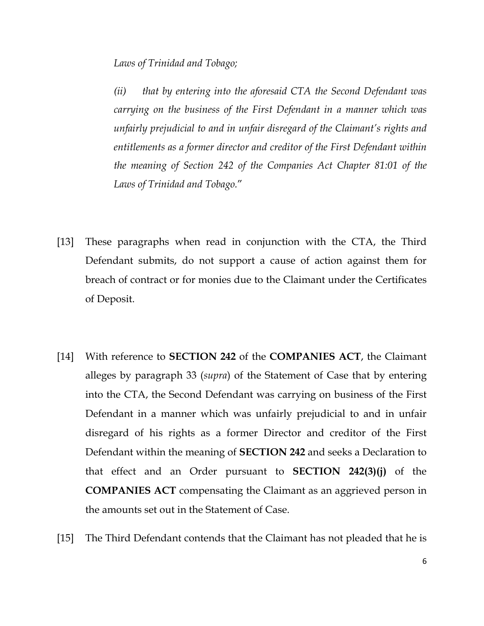Laws of Trinidad and Tobago;

(ii) that by entering into the aforesaid CTA the Second Defendant was carrying on the business of the First Defendant in a manner which was unfairly prejudicial to and in unfair disregard of the Claimant's rights and entitlements as a former director and creditor of the First Defendant within the meaning of Section 242 of the Companies Act Chapter 81:01 of the Laws of Trinidad and Tobago."

- [13] These paragraphs when read in conjunction with the CTA, the Third Defendant submits, do not support a cause of action against them for breach of contract or for monies due to the Claimant under the Certificates of Deposit.
- [14] With reference to **SECTION 242** of the **COMPANIES ACT**, the Claimant alleges by paragraph 33 (supra) of the Statement of Case that by entering into the CTA, the Second Defendant was carrying on business of the First Defendant in a manner which was unfairly prejudicial to and in unfair disregard of his rights as a former Director and creditor of the First Defendant within the meaning of SECTION 242 and seeks a Declaration to that effect and an Order pursuant to **SECTION** 242(3) $(i)$  of the COMPANIES ACT compensating the Claimant as an aggrieved person in the amounts set out in the Statement of Case.
- [15] The Third Defendant contends that the Claimant has not pleaded that he is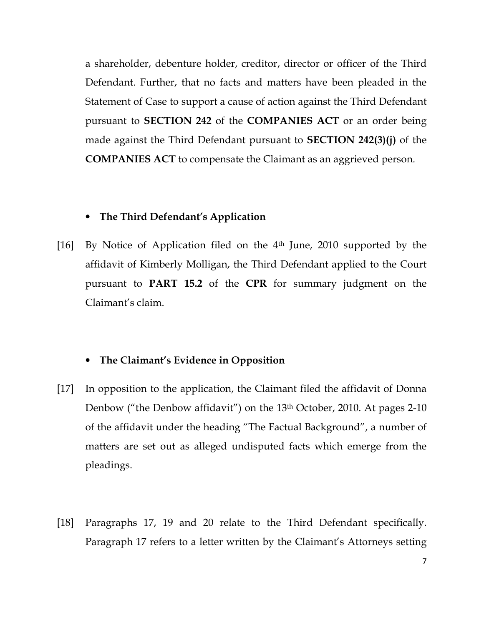a shareholder, debenture holder, creditor, director or officer of the Third Defendant. Further, that no facts and matters have been pleaded in the Statement of Case to support a cause of action against the Third Defendant pursuant to SECTION 242 of the COMPANIES ACT or an order being made against the Third Defendant pursuant to SECTION 242(3)(j) of the COMPANIES ACT to compensate the Claimant as an aggrieved person.

# • The Third Defendant's Application

[16] By Notice of Application filed on the 4th June, 2010 supported by the affidavit of Kimberly Molligan, the Third Defendant applied to the Court pursuant to PART 15.2 of the CPR for summary judgment on the Claimant's claim.

## • The Claimant's Evidence in Opposition

- [17] In opposition to the application, the Claimant filed the affidavit of Donna Denbow ("the Denbow affidavit") on the 13<sup>th</sup> October, 2010. At pages 2-10 of the affidavit under the heading "The Factual Background", a number of matters are set out as alleged undisputed facts which emerge from the pleadings.
- [18] Paragraphs 17, 19 and 20 relate to the Third Defendant specifically. Paragraph 17 refers to a letter written by the Claimant's Attorneys setting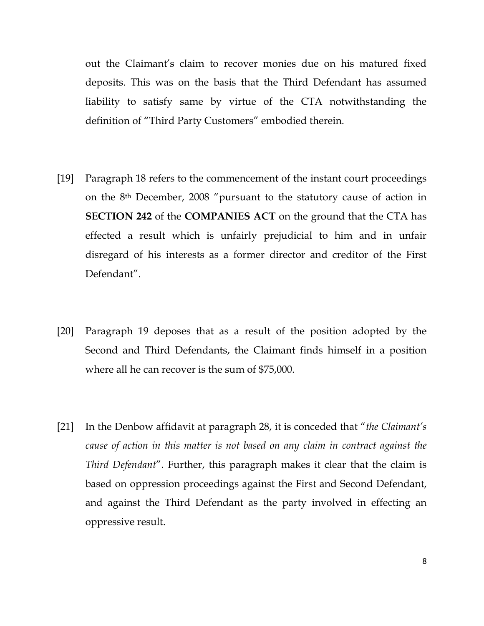out the Claimant's claim to recover monies due on his matured fixed deposits. This was on the basis that the Third Defendant has assumed liability to satisfy same by virtue of the CTA notwithstanding the definition of "Third Party Customers" embodied therein.

- [19] Paragraph 18 refers to the commencement of the instant court proceedings on the 8th December, 2008 "pursuant to the statutory cause of action in SECTION 242 of the COMPANIES ACT on the ground that the CTA has effected a result which is unfairly prejudicial to him and in unfair disregard of his interests as a former director and creditor of the First Defendant".
- [20] Paragraph 19 deposes that as a result of the position adopted by the Second and Third Defendants, the Claimant finds himself in a position where all he can recover is the sum of \$75,000.
- [21] In the Denbow affidavit at paragraph 28, it is conceded that "the Claimant's cause of action in this matter is not based on any claim in contract against the Third Defendant". Further, this paragraph makes it clear that the claim is based on oppression proceedings against the First and Second Defendant, and against the Third Defendant as the party involved in effecting an oppressive result.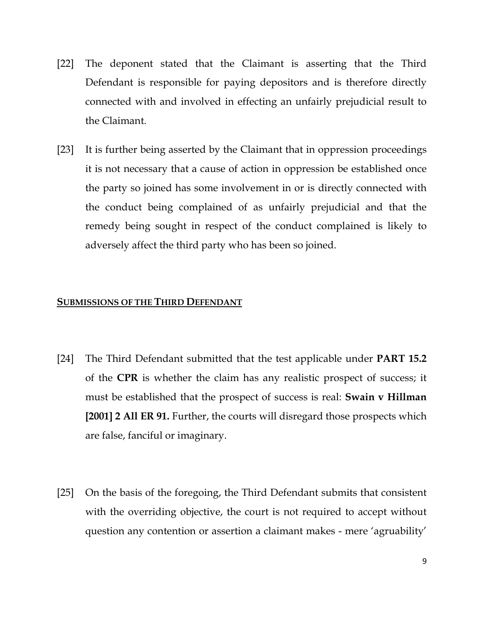- [22] The deponent stated that the Claimant is asserting that the Third Defendant is responsible for paying depositors and is therefore directly connected with and involved in effecting an unfairly prejudicial result to the Claimant.
- [23] It is further being asserted by the Claimant that in oppression proceedings it is not necessary that a cause of action in oppression be established once the party so joined has some involvement in or is directly connected with the conduct being complained of as unfairly prejudicial and that the remedy being sought in respect of the conduct complained is likely to adversely affect the third party who has been so joined.

#### **SUBMISSIONS OF THE THIRD DEFENDANT**

- [24] The Third Defendant submitted that the test applicable under PART 15.2 of the CPR is whether the claim has any realistic prospect of success; it must be established that the prospect of success is real: **Swain v Hillman** [2001] 2 All ER 91. Further, the courts will disregard those prospects which are false, fanciful or imaginary.
- [25] On the basis of the foregoing, the Third Defendant submits that consistent with the overriding objective, the court is not required to accept without question any contention or assertion a claimant makes - mere 'agruability'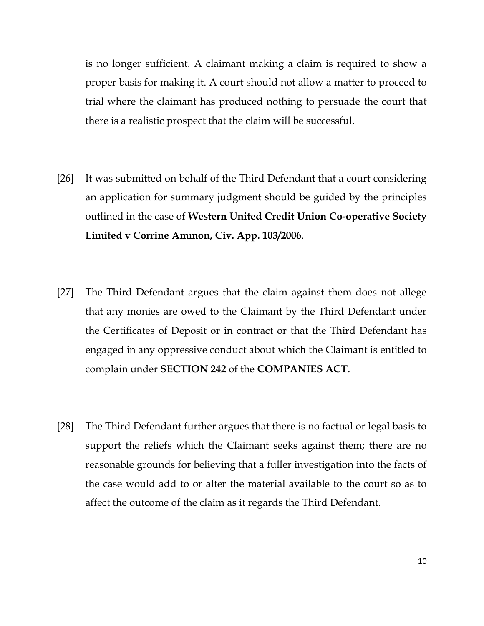is no longer sufficient. A claimant making a claim is required to show a proper basis for making it. A court should not allow a matter to proceed to trial where the claimant has produced nothing to persuade the court that there is a realistic prospect that the claim will be successful.

- [26] It was submitted on behalf of the Third Defendant that a court considering an application for summary judgment should be guided by the principles outlined in the case of Western United Credit Union Co-operative Society Limited v Corrine Ammon, Civ. App. 103/2006.
- [27] The Third Defendant argues that the claim against them does not allege that any monies are owed to the Claimant by the Third Defendant under the Certificates of Deposit or in contract or that the Third Defendant has engaged in any oppressive conduct about which the Claimant is entitled to complain under SECTION 242 of the COMPANIES ACT.
- [28] The Third Defendant further argues that there is no factual or legal basis to support the reliefs which the Claimant seeks against them; there are no reasonable grounds for believing that a fuller investigation into the facts of the case would add to or alter the material available to the court so as to affect the outcome of the claim as it regards the Third Defendant.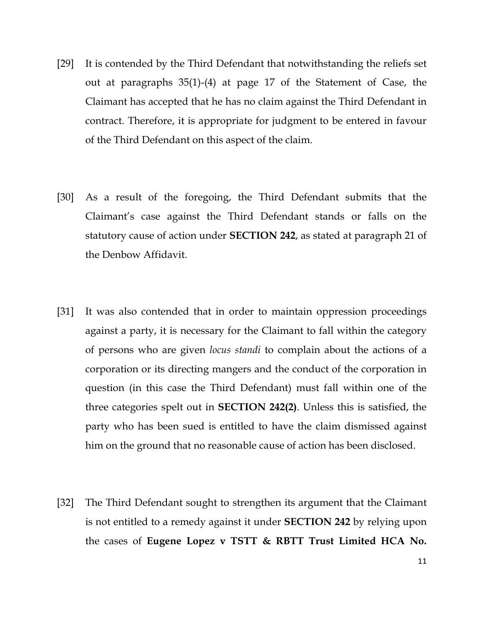- [29] It is contended by the Third Defendant that notwithstanding the reliefs set out at paragraphs 35(1)-(4) at page 17 of the Statement of Case, the Claimant has accepted that he has no claim against the Third Defendant in contract. Therefore, it is appropriate for judgment to be entered in favour of the Third Defendant on this aspect of the claim.
- [30] As a result of the foregoing, the Third Defendant submits that the Claimant's case against the Third Defendant stands or falls on the statutory cause of action under SECTION 242, as stated at paragraph 21 of the Denbow Affidavit.
- [31] It was also contended that in order to maintain oppression proceedings against a party, it is necessary for the Claimant to fall within the category of persons who are given locus standi to complain about the actions of a corporation or its directing mangers and the conduct of the corporation in question (in this case the Third Defendant) must fall within one of the three categories spelt out in SECTION 242(2). Unless this is satisfied, the party who has been sued is entitled to have the claim dismissed against him on the ground that no reasonable cause of action has been disclosed.
- [32] The Third Defendant sought to strengthen its argument that the Claimant is not entitled to a remedy against it under SECTION 242 by relying upon the cases of Eugene Lopez v TSTT & RBTT Trust Limited HCA No.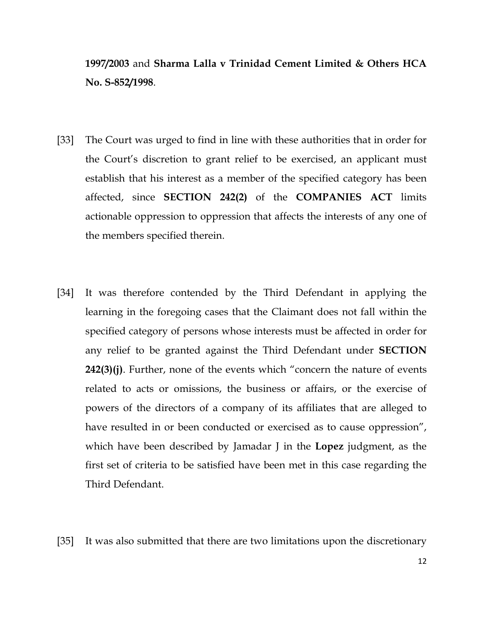1997/2003 and Sharma Lalla v Trinidad Cement Limited & Others HCA No. S-852/1998.

- [33] The Court was urged to find in line with these authorities that in order for the Court's discretion to grant relief to be exercised, an applicant must establish that his interest as a member of the specified category has been affected, since SECTION 242(2) of the COMPANIES ACT limits actionable oppression to oppression that affects the interests of any one of the members specified therein.
- [34] It was therefore contended by the Third Defendant in applying the learning in the foregoing cases that the Claimant does not fall within the specified category of persons whose interests must be affected in order for any relief to be granted against the Third Defendant under SECTION  $242(3)(i)$ . Further, none of the events which "concern the nature of events related to acts or omissions, the business or affairs, or the exercise of powers of the directors of a company of its affiliates that are alleged to have resulted in or been conducted or exercised as to cause oppression", which have been described by Jamadar J in the **Lopez** judgment, as the first set of criteria to be satisfied have been met in this case regarding the Third Defendant.

[35] It was also submitted that there are two limitations upon the discretionary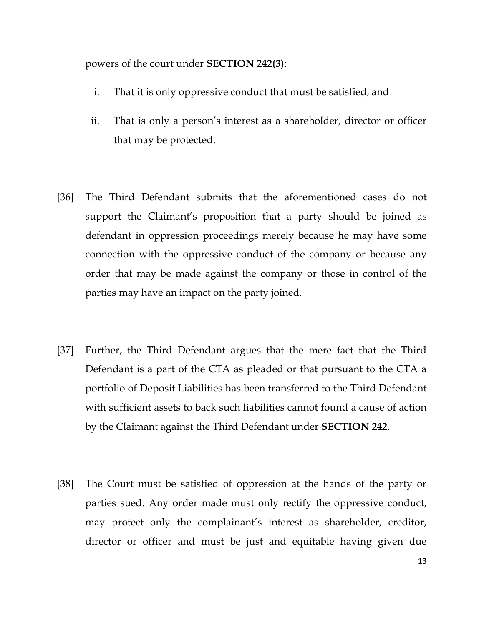powers of the court under SECTION 242(3):

- i. That it is only oppressive conduct that must be satisfied; and
- ii. That is only a person's interest as a shareholder, director or officer that may be protected.
- [36] The Third Defendant submits that the aforementioned cases do not support the Claimant's proposition that a party should be joined as defendant in oppression proceedings merely because he may have some connection with the oppressive conduct of the company or because any order that may be made against the company or those in control of the parties may have an impact on the party joined.
- [37] Further, the Third Defendant argues that the mere fact that the Third Defendant is a part of the CTA as pleaded or that pursuant to the CTA a portfolio of Deposit Liabilities has been transferred to the Third Defendant with sufficient assets to back such liabilities cannot found a cause of action by the Claimant against the Third Defendant under SECTION 242.
- [38] The Court must be satisfied of oppression at the hands of the party or parties sued. Any order made must only rectify the oppressive conduct, may protect only the complainant's interest as shareholder, creditor, director or officer and must be just and equitable having given due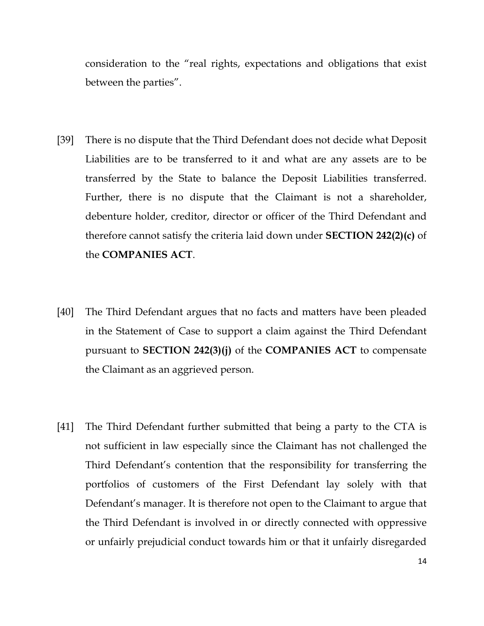consideration to the "real rights, expectations and obligations that exist between the parties".

- [39] There is no dispute that the Third Defendant does not decide what Deposit Liabilities are to be transferred to it and what are any assets are to be transferred by the State to balance the Deposit Liabilities transferred. Further, there is no dispute that the Claimant is not a shareholder, debenture holder, creditor, director or officer of the Third Defendant and therefore cannot satisfy the criteria laid down under SECTION 242(2)(c) of the COMPANIES ACT.
- [40] The Third Defendant argues that no facts and matters have been pleaded in the Statement of Case to support a claim against the Third Defendant pursuant to SECTION 242(3)(j) of the COMPANIES ACT to compensate the Claimant as an aggrieved person.
- [41] The Third Defendant further submitted that being a party to the CTA is not sufficient in law especially since the Claimant has not challenged the Third Defendant's contention that the responsibility for transferring the portfolios of customers of the First Defendant lay solely with that Defendant's manager. It is therefore not open to the Claimant to argue that the Third Defendant is involved in or directly connected with oppressive or unfairly prejudicial conduct towards him or that it unfairly disregarded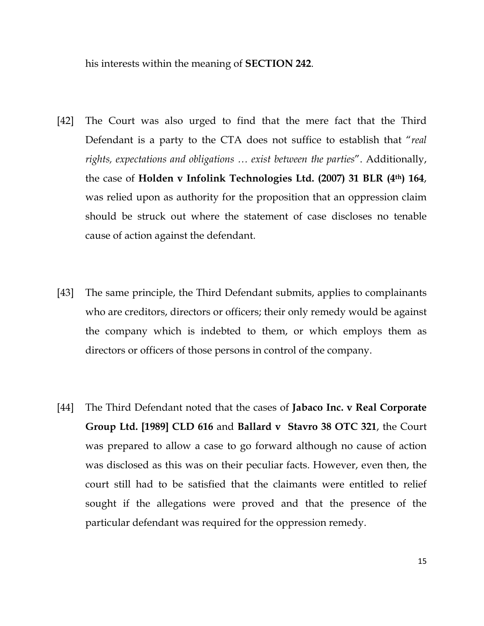his interests within the meaning of SECTION 242.

- [42] The Court was also urged to find that the mere fact that the Third Defendant is a party to the CTA does not suffice to establish that "real rights, expectations and obligations … exist between the parties". Additionally, the case of Holden v Infolink Technologies Ltd. (2007) 31 BLR (4th) 164, was relied upon as authority for the proposition that an oppression claim should be struck out where the statement of case discloses no tenable cause of action against the defendant.
- [43] The same principle, the Third Defendant submits, applies to complainants who are creditors, directors or officers; their only remedy would be against the company which is indebted to them, or which employs them as directors or officers of those persons in control of the company.
- [44] The Third Defendant noted that the cases of **Jabaco Inc. v Real Corporate** Group Ltd. [1989] CLD 616 and Ballard v Stavro 38 OTC 321, the Court was prepared to allow a case to go forward although no cause of action was disclosed as this was on their peculiar facts. However, even then, the court still had to be satisfied that the claimants were entitled to relief sought if the allegations were proved and that the presence of the particular defendant was required for the oppression remedy.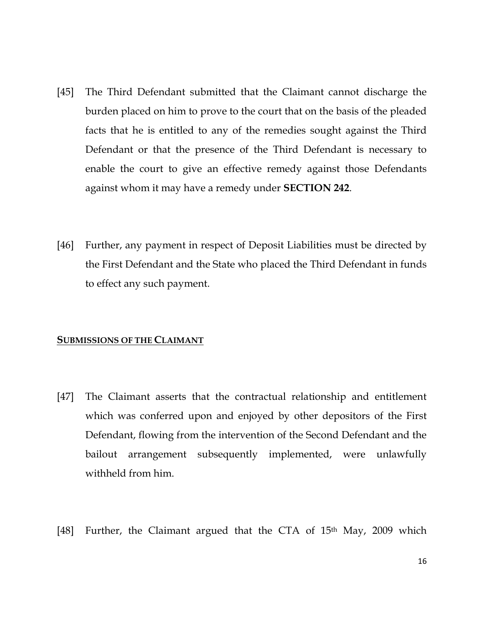- [45] The Third Defendant submitted that the Claimant cannot discharge the burden placed on him to prove to the court that on the basis of the pleaded facts that he is entitled to any of the remedies sought against the Third Defendant or that the presence of the Third Defendant is necessary to enable the court to give an effective remedy against those Defendants against whom it may have a remedy under **SECTION 242**.
- [46] Further, any payment in respect of Deposit Liabilities must be directed by the First Defendant and the State who placed the Third Defendant in funds to effect any such payment.

#### SUBMISSIONS OF THE CLAIMANT

- [47] The Claimant asserts that the contractual relationship and entitlement which was conferred upon and enjoyed by other depositors of the First Defendant, flowing from the intervention of the Second Defendant and the bailout arrangement subsequently implemented, were unlawfully withheld from him.
- [48] Further, the Claimant argued that the CTA of 15<sup>th</sup> May, 2009 which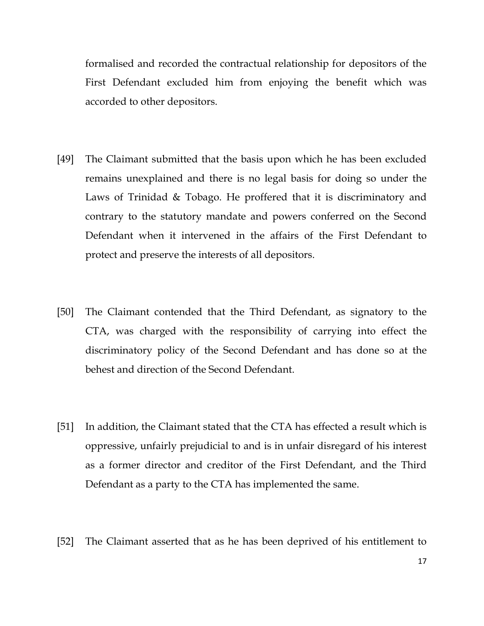formalised and recorded the contractual relationship for depositors of the First Defendant excluded him from enjoying the benefit which was accorded to other depositors.

- [49] The Claimant submitted that the basis upon which he has been excluded remains unexplained and there is no legal basis for doing so under the Laws of Trinidad & Tobago. He proffered that it is discriminatory and contrary to the statutory mandate and powers conferred on the Second Defendant when it intervened in the affairs of the First Defendant to protect and preserve the interests of all depositors.
- [50] The Claimant contended that the Third Defendant, as signatory to the CTA, was charged with the responsibility of carrying into effect the discriminatory policy of the Second Defendant and has done so at the behest and direction of the Second Defendant.
- [51] In addition, the Claimant stated that the CTA has effected a result which is oppressive, unfairly prejudicial to and is in unfair disregard of his interest as a former director and creditor of the First Defendant, and the Third Defendant as a party to the CTA has implemented the same.
- [52] The Claimant asserted that as he has been deprived of his entitlement to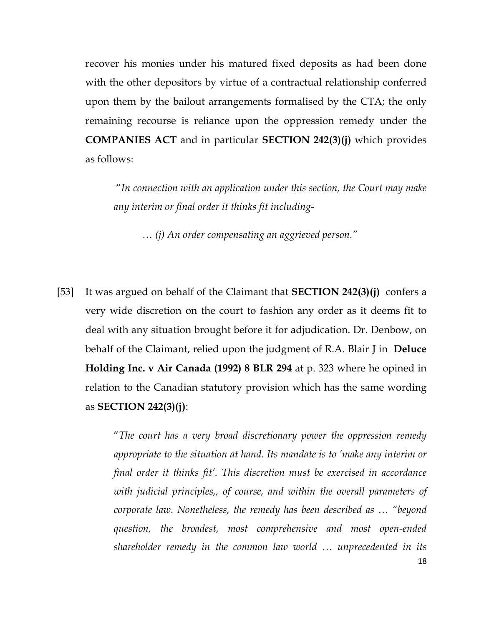recover his monies under his matured fixed deposits as had been done with the other depositors by virtue of a contractual relationship conferred upon them by the bailout arrangements formalised by the CTA; the only remaining recourse is reliance upon the oppression remedy under the COMPANIES ACT and in particular SECTION 242(3)(j) which provides as follows:

"In connection with an application under this section, the Court may make any interim or final order it thinks fit including-

… (j) An order compensating an aggrieved person."

[53] It was argued on behalf of the Claimant that **SECTION 242(3)(j)** confers a very wide discretion on the court to fashion any order as it deems fit to deal with any situation brought before it for adjudication. Dr. Denbow, on behalf of the Claimant, relied upon the judgment of R.A. Blair J in **Deluce** Holding Inc. v Air Canada (1992) 8 BLR 294 at p. 323 where he opined in relation to the Canadian statutory provision which has the same wording as  $SECTION 242(3)(j)$ :

> "The court has a very broad discretionary power the oppression remedy appropriate to the situation at hand. Its mandate is to 'make any interim or final order it thinks fit'. This discretion must be exercised in accordance with judicial principles,, of course, and within the overall parameters of corporate law. Nonetheless, the remedy has been described as … "beyond question, the broadest, most comprehensive and most open-ended shareholder remedy in the common law world … unprecedented in its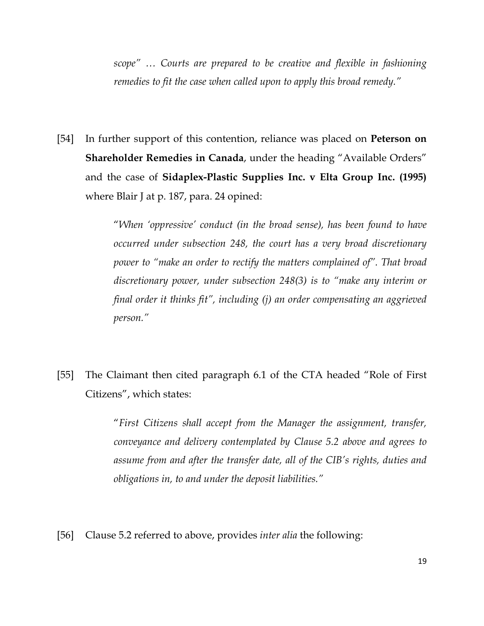scope" … Courts are prepared to be creative and flexible in fashioning remedies to fit the case when called upon to apply this broad remedy."

[54] In further support of this contention, reliance was placed on **Peterson on** Shareholder Remedies in Canada, under the heading "Available Orders" and the case of Sidaplex-Plastic Supplies Inc. v Elta Group Inc. (1995) where Blair J at p. 187, para. 24 opined:

> "When 'oppressive' conduct (in the broad sense), has been found to have occurred under subsection 248, the court has a very broad discretionary power to "make an order to rectify the matters complained of". That broad discretionary power, under subsection 248(3) is to "make any interim or final order it thinks fit", including (j) an order compensating an aggrieved person."

[55] The Claimant then cited paragraph 6.1 of the CTA headed "Role of First Citizens", which states:

> "First Citizens shall accept from the Manager the assignment, transfer, conveyance and delivery contemplated by Clause 5.2 above and agrees to assume from and after the transfer date, all of the CIB's rights, duties and obligations in, to and under the deposit liabilities."

[56] Clause 5.2 referred to above, provides inter alia the following: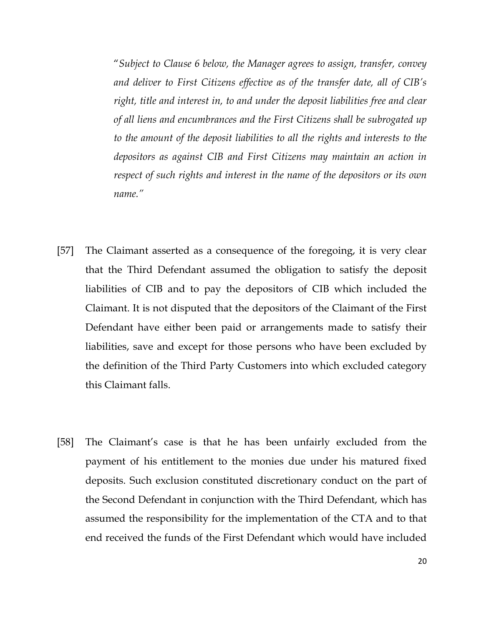"Subject to Clause 6 below, the Manager agrees to assign, transfer, convey and deliver to First Citizens effective as of the transfer date, all of CIB's right, title and interest in, to and under the deposit liabilities free and clear of all liens and encumbrances and the First Citizens shall be subrogated up to the amount of the deposit liabilities to all the rights and interests to the depositors as against CIB and First Citizens may maintain an action in respect of such rights and interest in the name of the depositors or its own name."

- [57] The Claimant asserted as a consequence of the foregoing, it is very clear that the Third Defendant assumed the obligation to satisfy the deposit liabilities of CIB and to pay the depositors of CIB which included the Claimant. It is not disputed that the depositors of the Claimant of the First Defendant have either been paid or arrangements made to satisfy their liabilities, save and except for those persons who have been excluded by the definition of the Third Party Customers into which excluded category this Claimant falls.
- [58] The Claimant's case is that he has been unfairly excluded from the payment of his entitlement to the monies due under his matured fixed deposits. Such exclusion constituted discretionary conduct on the part of the Second Defendant in conjunction with the Third Defendant, which has assumed the responsibility for the implementation of the CTA and to that end received the funds of the First Defendant which would have included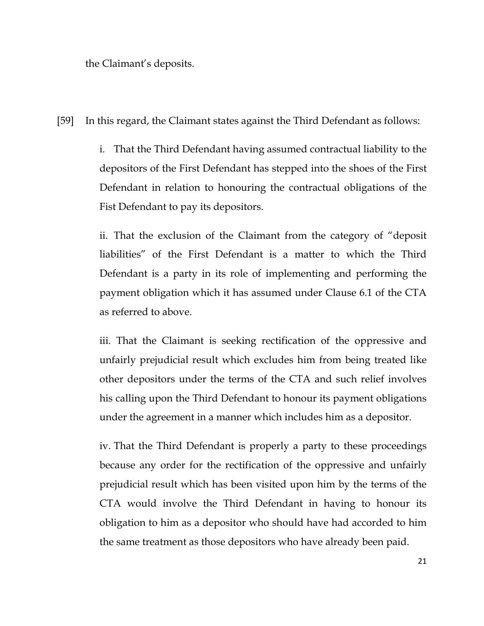the Claimant's deposits.

[59] In this regard, the Claimant states against the Third Defendant as follows:

 i. That the Third Defendant having assumed contractual liability to the depositors of the First Defendant has stepped into the shoes of the First Defendant in relation to honouring the contractual obligations of the Fist Defendant to pay its depositors.

 ii. That the exclusion of the Claimant from the category of "deposit liabilities" of the First Defendant is a matter to which the Third Defendant is a party in its role of implementing and performing the payment obligation which it has assumed under Clause 6.1 of the CTA as referred to above.

 iii. That the Claimant is seeking rectification of the oppressive and unfairly prejudicial result which excludes him from being treated like other depositors under the terms of the CTA and such relief involves his calling upon the Third Defendant to honour its payment obligations under the agreement in a manner which includes him as a depositor.

 iv. That the Third Defendant is properly a party to these proceedings because any order for the rectification of the oppressive and unfairly prejudicial result which has been visited upon him by the terms of the CTA would involve the Third Defendant in having to honour its obligation to him as a depositor who should have had accorded to him the same treatment as those depositors who have already been paid.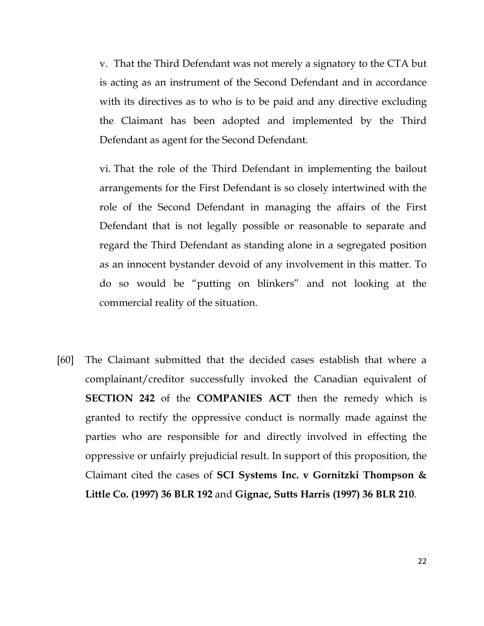v. That the Third Defendant was not merely a signatory to the CTA but is acting as an instrument of the Second Defendant and in accordance with its directives as to who is to be paid and any directive excluding the Claimant has been adopted and implemented by the Third Defendant as agent for the Second Defendant.

 vi. That the role of the Third Defendant in implementing the bailout arrangements for the First Defendant is so closely intertwined with the role of the Second Defendant in managing the affairs of the First Defendant that is not legally possible or reasonable to separate and regard the Third Defendant as standing alone in a segregated position as an innocent bystander devoid of any involvement in this matter. To do so would be "putting on blinkers" and not looking at the commercial reality of the situation.

[60] The Claimant submitted that the decided cases establish that where a complainant/creditor successfully invoked the Canadian equivalent of **SECTION 242** of the **COMPANIES** ACT then the remedy which is granted to rectify the oppressive conduct is normally made against the parties who are responsible for and directly involved in effecting the oppressive or unfairly prejudicial result. In support of this proposition, the Claimant cited the cases of SCI Systems Inc. v Gornitzki Thompson & Little Co. (1997) 36 BLR 192 and Gignac, Sutts Harris (1997) 36 BLR 210.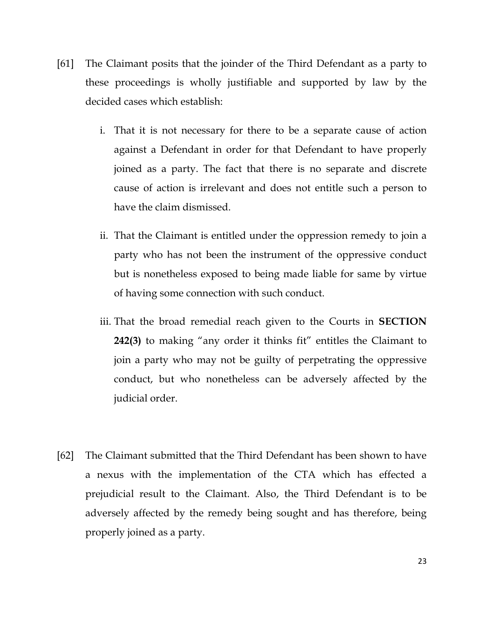- [61] The Claimant posits that the joinder of the Third Defendant as a party to these proceedings is wholly justifiable and supported by law by the decided cases which establish:
	- i. That it is not necessary for there to be a separate cause of action against a Defendant in order for that Defendant to have properly joined as a party. The fact that there is no separate and discrete cause of action is irrelevant and does not entitle such a person to have the claim dismissed.
	- ii. That the Claimant is entitled under the oppression remedy to join a party who has not been the instrument of the oppressive conduct but is nonetheless exposed to being made liable for same by virtue of having some connection with such conduct.
	- iii. That the broad remedial reach given to the Courts in SECTION 242(3) to making "any order it thinks fit" entitles the Claimant to join a party who may not be guilty of perpetrating the oppressive conduct, but who nonetheless can be adversely affected by the judicial order.
- [62] The Claimant submitted that the Third Defendant has been shown to have a nexus with the implementation of the CTA which has effected a prejudicial result to the Claimant. Also, the Third Defendant is to be adversely affected by the remedy being sought and has therefore, being properly joined as a party.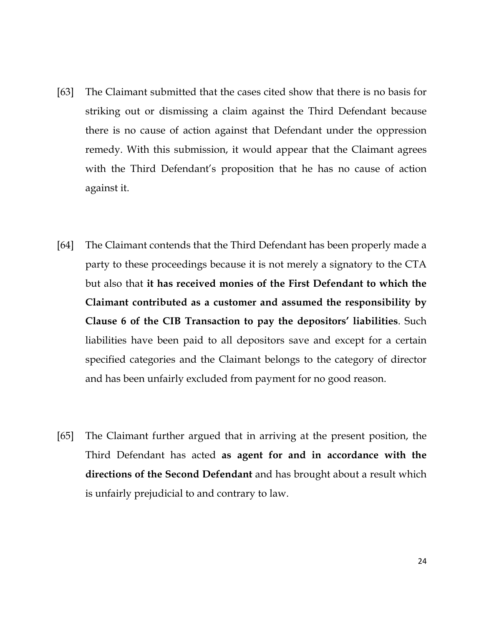- [63] The Claimant submitted that the cases cited show that there is no basis for striking out or dismissing a claim against the Third Defendant because there is no cause of action against that Defendant under the oppression remedy. With this submission, it would appear that the Claimant agrees with the Third Defendant's proposition that he has no cause of action against it.
- [64] The Claimant contends that the Third Defendant has been properly made a party to these proceedings because it is not merely a signatory to the CTA but also that it has received monies of the First Defendant to which the Claimant contributed as a customer and assumed the responsibility by Clause 6 of the CIB Transaction to pay the depositors' liabilities. Such liabilities have been paid to all depositors save and except for a certain specified categories and the Claimant belongs to the category of director and has been unfairly excluded from payment for no good reason.
- [65] The Claimant further argued that in arriving at the present position, the Third Defendant has acted as agent for and in accordance with the directions of the Second Defendant and has brought about a result which is unfairly prejudicial to and contrary to law.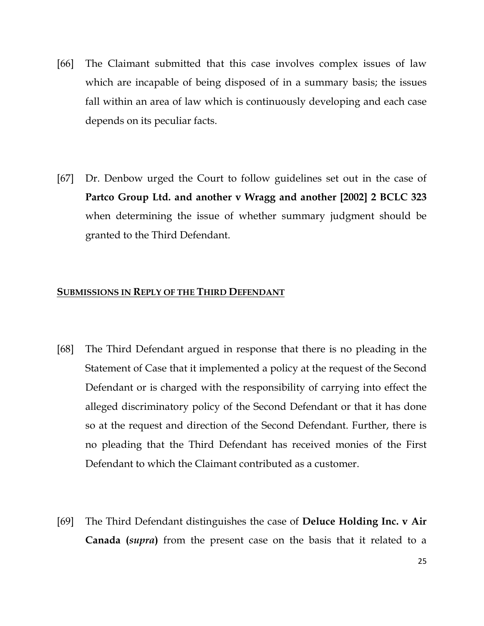- [66] The Claimant submitted that this case involves complex issues of law which are incapable of being disposed of in a summary basis; the issues fall within an area of law which is continuously developing and each case depends on its peculiar facts.
- [67] Dr. Denbow urged the Court to follow guidelines set out in the case of Partco Group Ltd. and another v Wragg and another [2002] 2 BCLC 323 when determining the issue of whether summary judgment should be granted to the Third Defendant.

## SUBMISSIONS IN REPLY OF THE THIRD DEFENDANT

- [68] The Third Defendant argued in response that there is no pleading in the Statement of Case that it implemented a policy at the request of the Second Defendant or is charged with the responsibility of carrying into effect the alleged discriminatory policy of the Second Defendant or that it has done so at the request and direction of the Second Defendant. Further, there is no pleading that the Third Defendant has received monies of the First Defendant to which the Claimant contributed as a customer.
- [69] The Third Defendant distinguishes the case of Deluce Holding Inc. v Air Canada (supra) from the present case on the basis that it related to a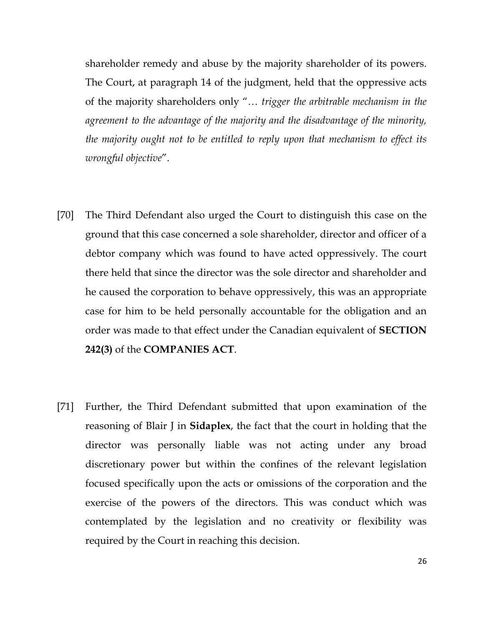shareholder remedy and abuse by the majority shareholder of its powers. The Court, at paragraph 14 of the judgment, held that the oppressive acts of the majority shareholders only "… trigger the arbitrable mechanism in the agreement to the advantage of the majority and the disadvantage of the minority, the majority ought not to be entitled to reply upon that mechanism to effect its wrongful objective".

- [70] The Third Defendant also urged the Court to distinguish this case on the ground that this case concerned a sole shareholder, director and officer of a debtor company which was found to have acted oppressively. The court there held that since the director was the sole director and shareholder and he caused the corporation to behave oppressively, this was an appropriate case for him to be held personally accountable for the obligation and an order was made to that effect under the Canadian equivalent of SECTION 242(3) of the COMPANIES ACT.
- [71] Further, the Third Defendant submitted that upon examination of the reasoning of Blair J in Sidaplex, the fact that the court in holding that the director was personally liable was not acting under any broad discretionary power but within the confines of the relevant legislation focused specifically upon the acts or omissions of the corporation and the exercise of the powers of the directors. This was conduct which was contemplated by the legislation and no creativity or flexibility was required by the Court in reaching this decision.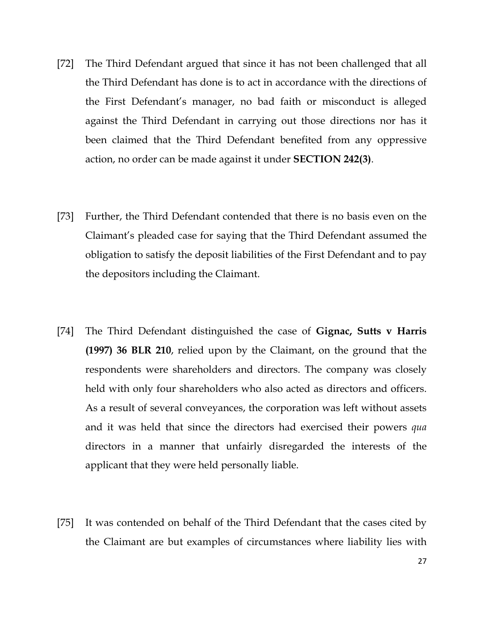- [72] The Third Defendant argued that since it has not been challenged that all the Third Defendant has done is to act in accordance with the directions of the First Defendant's manager, no bad faith or misconduct is alleged against the Third Defendant in carrying out those directions nor has it been claimed that the Third Defendant benefited from any oppressive action, no order can be made against it under SECTION 242(3).
- [73] Further, the Third Defendant contended that there is no basis even on the Claimant's pleaded case for saying that the Third Defendant assumed the obligation to satisfy the deposit liabilities of the First Defendant and to pay the depositors including the Claimant.
- [74] The Third Defendant distinguished the case of Gignac, Sutts v Harris (1997) 36 BLR 210, relied upon by the Claimant, on the ground that the respondents were shareholders and directors. The company was closely held with only four shareholders who also acted as directors and officers. As a result of several conveyances, the corporation was left without assets and it was held that since the directors had exercised their powers qua directors in a manner that unfairly disregarded the interests of the applicant that they were held personally liable.
- [75] It was contended on behalf of the Third Defendant that the cases cited by the Claimant are but examples of circumstances where liability lies with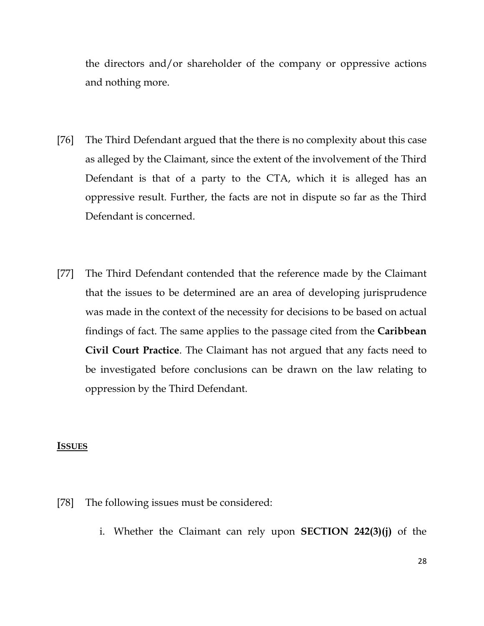the directors and/or shareholder of the company or oppressive actions and nothing more.

- [76] The Third Defendant argued that the there is no complexity about this case as alleged by the Claimant, since the extent of the involvement of the Third Defendant is that of a party to the CTA, which it is alleged has an oppressive result. Further, the facts are not in dispute so far as the Third Defendant is concerned.
- [77] The Third Defendant contended that the reference made by the Claimant that the issues to be determined are an area of developing jurisprudence was made in the context of the necessity for decisions to be based on actual findings of fact. The same applies to the passage cited from the **Caribbean** Civil Court Practice. The Claimant has not argued that any facts need to be investigated before conclusions can be drawn on the law relating to oppression by the Third Defendant.

#### ISSUES

- [78] The following issues must be considered:
	- i. Whether the Claimant can rely upon SECTION 242(3)(j) of the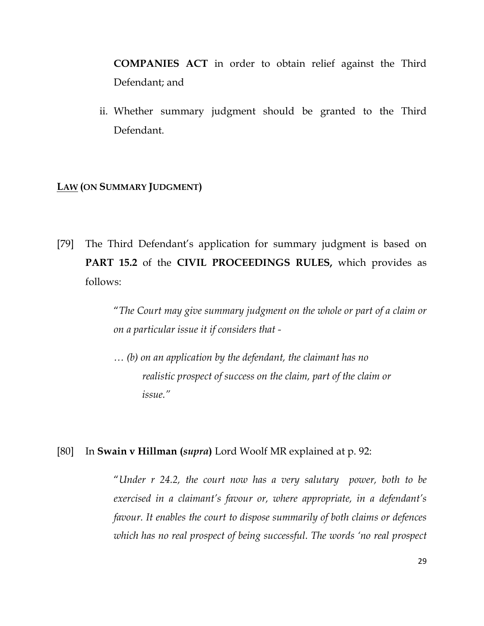COMPANIES ACT in order to obtain relief against the Third Defendant; and

ii. Whether summary judgment should be granted to the Third Defendant.

# LAW (ON SUMMARY JUDGMENT)

[79] The Third Defendant's application for summary judgment is based on PART 15.2 of the CIVIL PROCEEDINGS RULES, which provides as follows:

> "The Court may give summary judgment on the whole or part of a claim or on a particular issue it if considers that -

 … (b) on an application by the defendant, the claimant has no realistic prospect of success on the claim, part of the claim or issue."

#### [80] In **Swain v Hillman (***supra***)** Lord Woolf MR explained at p. 92:

"Under r 24.2, the court now has a very salutary power, both to be exercised in a claimant's favour or, where appropriate, in a defendant's favour. It enables the court to dispose summarily of both claims or defences which has no real prospect of being successful. The words 'no real prospect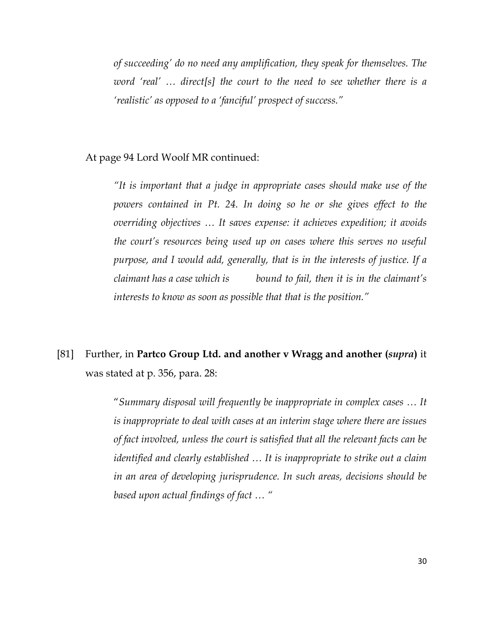of succeeding' do no need any amplification, they speak for themselves. The word 'real' ... direct[s] the court to the need to see whether there is a 'realistic' as opposed to a 'fanciful' prospect of success."

# At page 94 Lord Woolf MR continued:

"It is important that a judge in appropriate cases should make use of the powers contained in Pt. 24. In doing so he or she gives effect to the overriding objectives … It saves expense: it achieves expedition; it avoids the court's resources being used up on cases where this serves no useful purpose, and I would add, generally, that is in the interests of justice. If a claimant has a case which is bound to fail, then it is in the claimant's interests to know as soon as possible that that is the position."

# [81] Further, in Partco Group Ltd. and another v Wragg and another (supra) it was stated at p. 356, para. 28:

"Summary disposal will frequently be inappropriate in complex cases … It is inappropriate to deal with cases at an interim stage where there are issues of fact involved, unless the court is satisfied that all the relevant facts can be identified and clearly established … It is inappropriate to strike out a claim in an area of developing jurisprudence. In such areas, decisions should be based upon actual findings of fact … "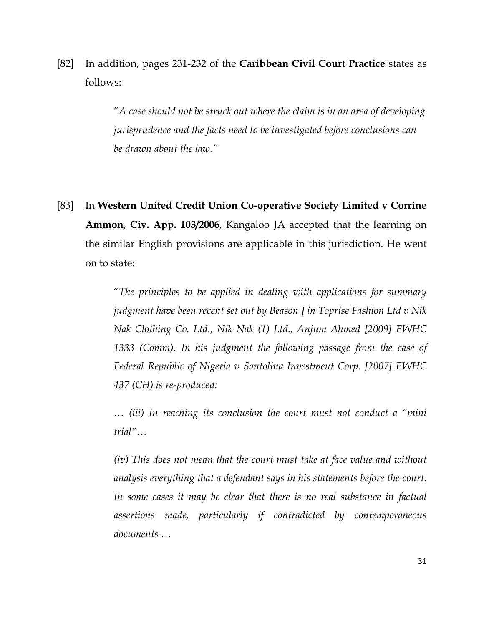[82] In addition, pages 231-232 of the Caribbean Civil Court Practice states as follows:

> "A case should not be struck out where the claim is in an area of developing jurisprudence and the facts need to be investigated before conclusions can be drawn about the law."

[83] In Western United Credit Union Co-operative Society Limited v Corrine Ammon, Civ. App. 103/2006, Kangaloo JA accepted that the learning on the similar English provisions are applicable in this jurisdiction. He went on to state:

> "The principles to be applied in dealing with applications for summary judgment have been recent set out by Beason J in Toprise Fashion Ltd v Nik Nak Clothing Co. Ltd., Nik Nak (1) Ltd., Anjum Ahmed [2009] EWHC 1333 (Comm). In his judgment the following passage from the case of Federal Republic of Nigeria v Santolina Investment Corp. [2007] EWHC 437 (CH) is re-produced:

> … (iii) In reaching its conclusion the court must not conduct a "mini trial"…

> (iv) This does not mean that the court must take at face value and without analysis everything that a defendant says in his statements before the court. In some cases it may be clear that there is no real substance in factual assertions made, particularly if contradicted by contemporaneous documents …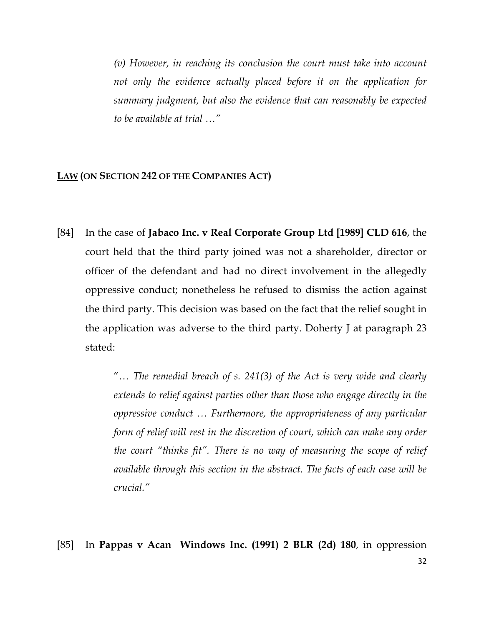(v) However, in reaching its conclusion the court must take into account not only the evidence actually placed before it on the application for summary judgment, but also the evidence that can reasonably be expected to be available at trial …"

# LAW (ON SECTION 242 OF THE COMPANIES ACT)

[84] In the case of Jabaco Inc. v Real Corporate Group Ltd [1989] CLD 616, the court held that the third party joined was not a shareholder, director or officer of the defendant and had no direct involvement in the allegedly oppressive conduct; nonetheless he refused to dismiss the action against the third party. This decision was based on the fact that the relief sought in the application was adverse to the third party. Doherty J at paragraph 23 stated:

> "... The remedial breach of s. 241(3) of the Act is very wide and clearly extends to relief against parties other than those who engage directly in the oppressive conduct … Furthermore, the appropriateness of any particular form of relief will rest in the discretion of court, which can make any order the court "thinks fit". There is no way of measuring the scope of relief available through this section in the abstract. The facts of each case will be crucial."

[85] In Pappas v Acan Windows Inc. (1991) 2 BLR (2d) 180, in oppression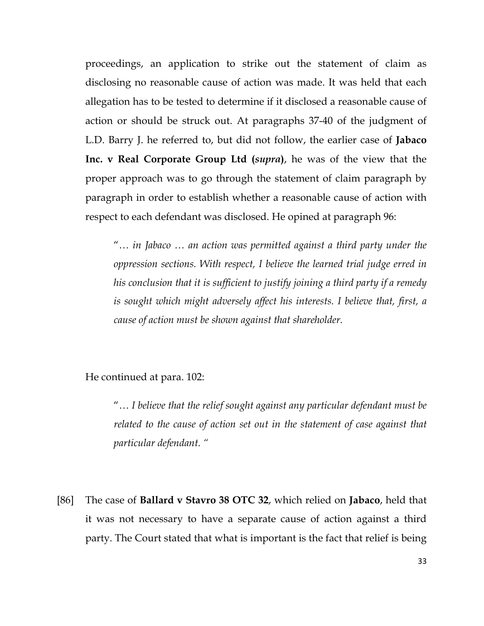proceedings, an application to strike out the statement of claim as disclosing no reasonable cause of action was made. It was held that each allegation has to be tested to determine if it disclosed a reasonable cause of action or should be struck out. At paragraphs 37-40 of the judgment of L.D. Barry J. he referred to, but did not follow, the earlier case of Jabaco Inc. v Real Corporate Group Ltd (*supra*), he was of the view that the proper approach was to go through the statement of claim paragraph by paragraph in order to establish whether a reasonable cause of action with respect to each defendant was disclosed. He opined at paragraph 96:

"… in Jabaco … an action was permitted against a third party under the oppression sections. With respect, I believe the learned trial judge erred in his conclusion that it is sufficient to justify joining a third party if a remedy is sought which might adversely affect his interests. I believe that, first, a cause of action must be shown against that shareholder.

He continued at para. 102:

"… I believe that the relief sought against any particular defendant must be related to the cause of action set out in the statement of case against that particular defendant. "

[86] The case of Ballard v Stavro 38 OTC 32, which relied on Jabaco, held that it was not necessary to have a separate cause of action against a third party. The Court stated that what is important is the fact that relief is being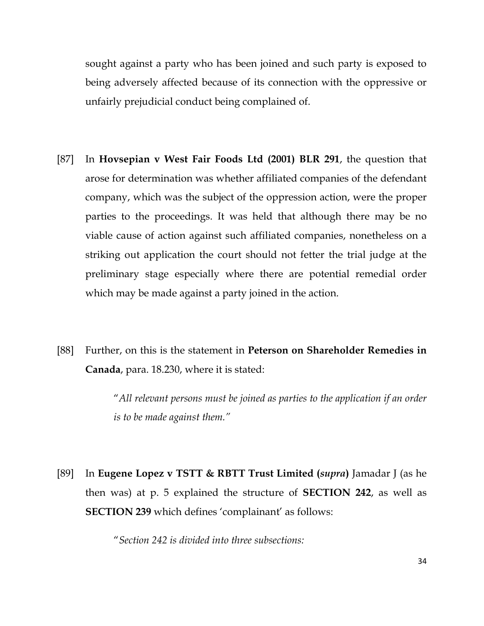sought against a party who has been joined and such party is exposed to being adversely affected because of its connection with the oppressive or unfairly prejudicial conduct being complained of.

- [87] In Hovsepian v West Fair Foods Ltd (2001) BLR 291, the question that arose for determination was whether affiliated companies of the defendant company, which was the subject of the oppression action, were the proper parties to the proceedings. It was held that although there may be no viable cause of action against such affiliated companies, nonetheless on a striking out application the court should not fetter the trial judge at the preliminary stage especially where there are potential remedial order which may be made against a party joined in the action.
- [88] Further, on this is the statement in Peterson on Shareholder Remedies in Canada, para. 18.230, where it is stated:

"All relevant persons must be joined as parties to the application if an order is to be made against them."

[89] In Eugene Lopez v TSTT & RBTT Trust Limited (*supra*) Jamadar J (as he then was) at p. 5 explained the structure of SECTION 242, as well as SECTION 239 which defines 'complainant' as follows:

"Section 242 is divided into three subsections: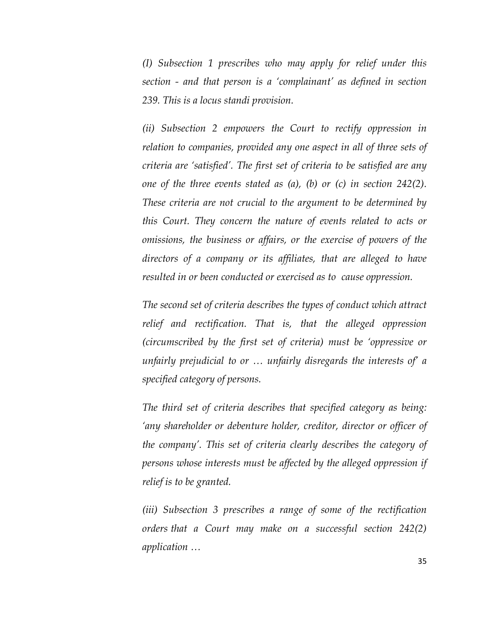(I) Subsection 1 prescribes who may apply for relief under this section - and that person is a 'complainant' as defined in section 239. This is a locus standi provision.

(ii) Subsection 2 empowers the Court to rectify oppression in relation to companies, provided any one aspect in all of three sets of criteria are 'satisfied'. The first set of criteria to be satisfied are any one of the three events stated as  $(a)$ ,  $(b)$  or  $(c)$  in section 242(2). These criteria are not crucial to the argument to be determined by this Court. They concern the nature of events related to acts or omissions, the business or affairs, or the exercise of powers of the directors of a company or its affiliates, that are alleged to have resulted in or been conducted or exercised as to cause oppression.

The second set of criteria describes the types of conduct which attract relief and rectification. That is, that the alleged oppression (circumscribed by the first set of criteria) must be 'oppressive or unfairly prejudicial to or … unfairly disregards the interests of' a specified category of persons.

The third set of criteria describes that specified category as being: 'any shareholder or debenture holder, creditor, director or officer of the company'. This set of criteria clearly describes the category of persons whose interests must be affected by the alleged oppression if relief is to be granted.

(iii) Subsection 3 prescribes a range of some of the rectification orders that a Court may make on a successful section 242(2) application …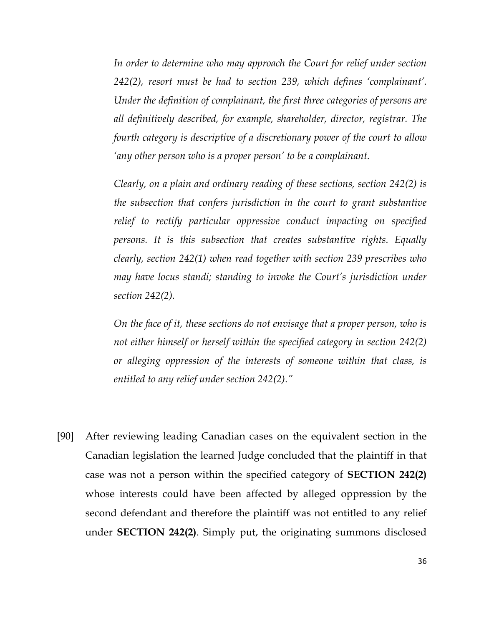In order to determine who may approach the Court for relief under section 242(2), resort must be had to section 239, which defines 'complainant'. Under the definition of complainant, the first three categories of persons are all definitively described, for example, shareholder, director, registrar. The fourth category is descriptive of a discretionary power of the court to allow 'any other person who is a proper person' to be a complainant.

Clearly, on a plain and ordinary reading of these sections, section 242(2) is the subsection that confers jurisdiction in the court to grant substantive relief to rectify particular oppressive conduct impacting on specified persons. It is this subsection that creates substantive rights. Equally clearly, section 242(1) when read together with section 239 prescribes who may have locus standi; standing to invoke the Court's jurisdiction under section 242(2).

On the face of it, these sections do not envisage that a proper person, who is not either himself or herself within the specified category in section 242(2) or alleging oppression of the interests of someone within that class, is entitled to any relief under section 242(2)."

[90] After reviewing leading Canadian cases on the equivalent section in the Canadian legislation the learned Judge concluded that the plaintiff in that case was not a person within the specified category of SECTION 242(2) whose interests could have been affected by alleged oppression by the second defendant and therefore the plaintiff was not entitled to any relief under SECTION 242(2). Simply put, the originating summons disclosed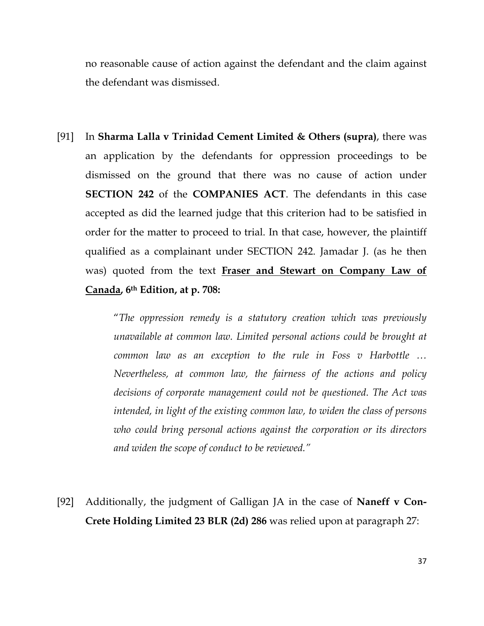no reasonable cause of action against the defendant and the claim against the defendant was dismissed.

[91] In Sharma Lalla v Trinidad Cement Limited & Others (supra), there was an application by the defendants for oppression proceedings to be dismissed on the ground that there was no cause of action under SECTION 242 of the COMPANIES ACT. The defendants in this case accepted as did the learned judge that this criterion had to be satisfied in order for the matter to proceed to trial. In that case, however, the plaintiff qualified as a complainant under SECTION 242. Jamadar J. (as he then was) quoted from the text Fraser and Stewart on Company Law of Canada, 6th Edition, at p. 708:

> "The oppression remedy is a statutory creation which was previously unavailable at common law. Limited personal actions could be brought at common law as an exception to the rule in Foss v Harbottle … Nevertheless, at common law, the fairness of the actions and policy decisions of corporate management could not be questioned. The Act was intended, in light of the existing common law, to widen the class of persons who could bring personal actions against the corporation or its directors and widen the scope of conduct to be reviewed."

[92] Additionally, the judgment of Galligan JA in the case of Naneff v Con-Crete Holding Limited 23 BLR (2d) 286 was relied upon at paragraph 27: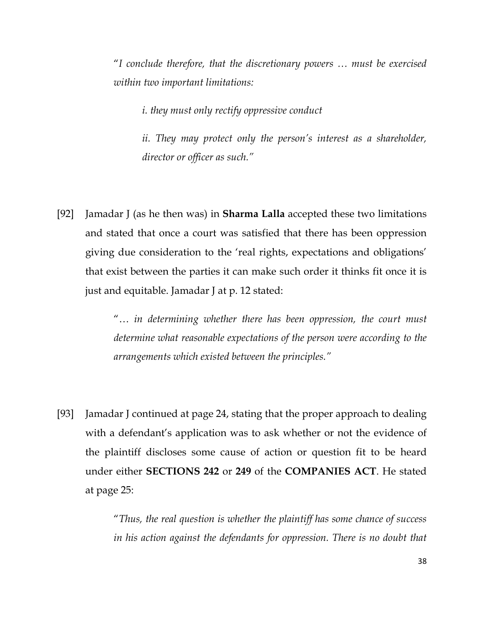"I conclude therefore, that the discretionary powers … must be exercised within two important limitations:

i. they must only rectify oppressive conduct

ii. They may protect only the person's interest as a shareholder, director or officer as such."

[92] Jamadar J (as he then was) in **Sharma Lalla** accepted these two limitations and stated that once a court was satisfied that there has been oppression giving due consideration to the 'real rights, expectations and obligations' that exist between the parties it can make such order it thinks fit once it is just and equitable. Jamadar J at p. 12 stated:

> "… in determining whether there has been oppression, the court must determine what reasonable expectations of the person were according to the arrangements which existed between the principles."

[93] Jamadar J continued at page 24, stating that the proper approach to dealing with a defendant's application was to ask whether or not the evidence of the plaintiff discloses some cause of action or question fit to be heard under either SECTIONS 242 or 249 of the COMPANIES ACT. He stated at page 25:

> "Thus, the real question is whether the plaintiff has some chance of success in his action against the defendants for oppression. There is no doubt that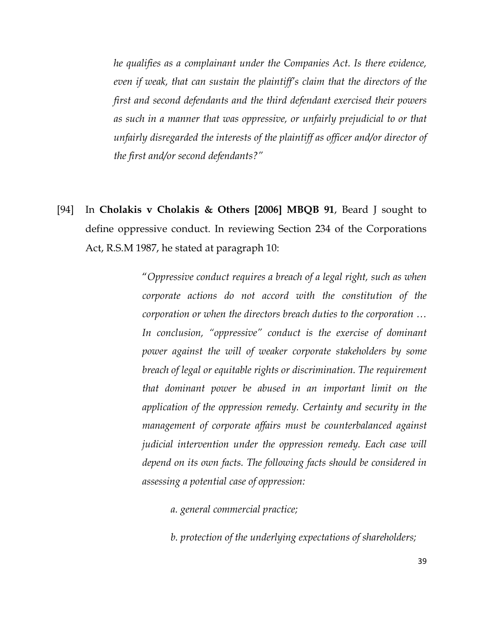he qualifies as a complainant under the Companies Act. Is there evidence, even if weak, that can sustain the plaintiff's claim that the directors of the first and second defendants and the third defendant exercised their powers as such in a manner that was oppressive, or unfairly prejudicial to or that unfairly disregarded the interests of the plaintiff as officer and/or director of the first and/or second defendants?"

[94] In Cholakis v Cholakis & Others [2006] MBQB 91, Beard J sought to define oppressive conduct. In reviewing Section 234 of the Corporations Act, R.S.M 1987, he stated at paragraph 10:

> "Oppressive conduct requires a breach of a legal right, such as when corporate actions do not accord with the constitution of the corporation or when the directors breach duties to the corporation … In conclusion, "oppressive" conduct is the exercise of dominant power against the will of weaker corporate stakeholders by some breach of legal or equitable rights or discrimination. The requirement that dominant power be abused in an important limit on the application of the oppression remedy. Certainty and security in the management of corporate affairs must be counterbalanced against judicial intervention under the oppression remedy. Each case will depend on its own facts. The following facts should be considered in assessing a potential case of oppression:

a. general commercial practice;

b. protection of the underlying expectations of shareholders;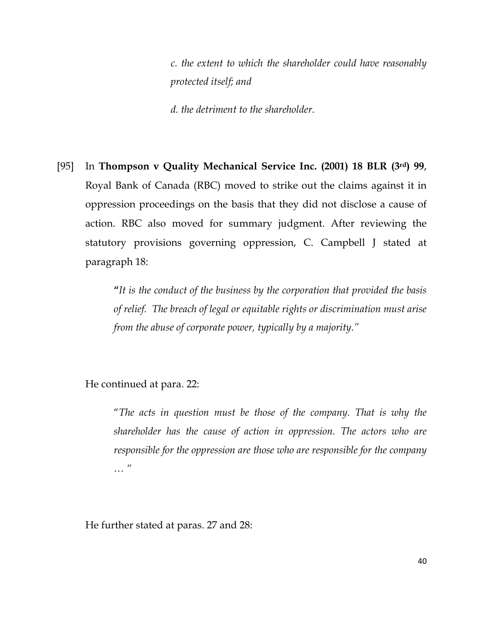c. the extent to which the shareholder could have reasonably protected itself; and

d. the detriment to the shareholder.

[95] In Thompson v Quality Mechanical Service Inc. (2001) 18 BLR (3rd) 99, Royal Bank of Canada (RBC) moved to strike out the claims against it in oppression proceedings on the basis that they did not disclose a cause of action. RBC also moved for summary judgment. After reviewing the statutory provisions governing oppression, C. Campbell J stated at paragraph 18:

> "It is the conduct of the business by the corporation that provided the basis of relief. The breach of legal or equitable rights or discrimination must arise from the abuse of corporate power, typically by a majority."

He continued at para. 22:

"The acts in question must be those of the company. That is why the shareholder has the cause of action in oppression. The actors who are responsible for the oppression are those who are responsible for the company … "

He further stated at paras. 27 and 28: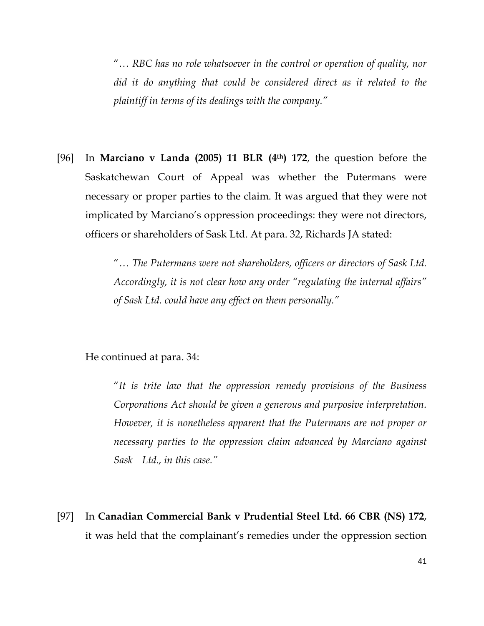"… RBC has no role whatsoever in the control or operation of quality, nor did it do anything that could be considered direct as it related to the plaintiff in terms of its dealings with the company."

[96] In Marciano v Landa (2005) 11 BLR (4<sup>th</sup>) 172, the question before the Saskatchewan Court of Appeal was whether the Putermans were necessary or proper parties to the claim. It was argued that they were not implicated by Marciano's oppression proceedings: they were not directors, officers or shareholders of Sask Ltd. At para. 32, Richards JA stated:

> "… The Putermans were not shareholders, officers or directors of Sask Ltd. Accordingly, it is not clear how any order "regulating the internal affairs" of Sask Ltd. could have any effect on them personally."

#### He continued at para. 34:

"It is trite law that the oppression remedy provisions of the Business Corporations Act should be given a generous and purposive interpretation. However, it is nonetheless apparent that the Putermans are not proper or necessary parties to the oppression claim advanced by Marciano against Sask Ltd., in this case."

[97] In Canadian Commercial Bank v Prudential Steel Ltd. 66 CBR (NS) 172, it was held that the complainant's remedies under the oppression section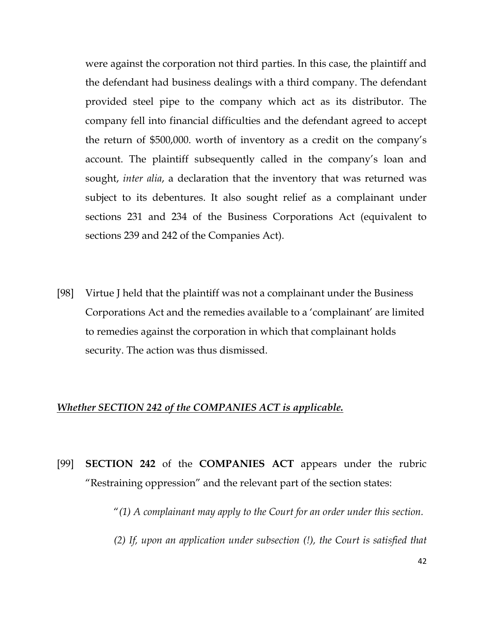were against the corporation not third parties. In this case, the plaintiff and the defendant had business dealings with a third company. The defendant provided steel pipe to the company which act as its distributor. The company fell into financial difficulties and the defendant agreed to accept the return of \$500,000. worth of inventory as a credit on the company's account. The plaintiff subsequently called in the company's loan and sought, inter alia, a declaration that the inventory that was returned was subject to its debentures. It also sought relief as a complainant under sections 231 and 234 of the Business Corporations Act (equivalent to sections 239 and 242 of the Companies Act).

[98] Virtue J held that the plaintiff was not a complainant under the Business Corporations Act and the remedies available to a 'complainant' are limited to remedies against the corporation in which that complainant holds security. The action was thus dismissed.

## Whether SECTION 242 of the COMPANIES ACT is applicable.

[99] SECTION 242 of the COMPANIES ACT appears under the rubric "Restraining oppression" and the relevant part of the section states:

" $(1)$  A complainant may apply to the Court for an order under this section.

(2) If, upon an application under subsection (!), the Court is satisfied that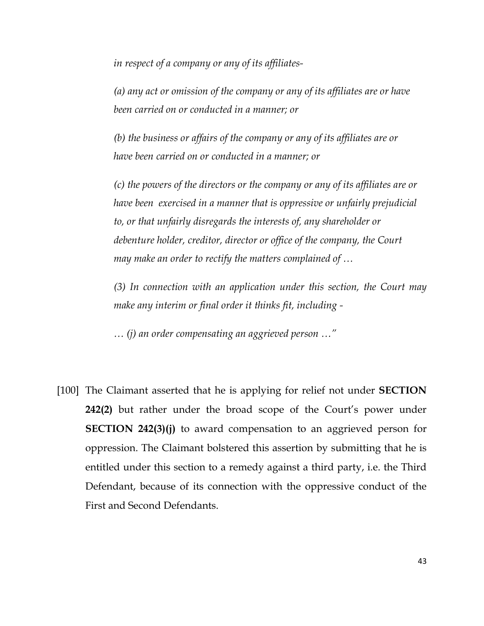in respect of a company or any of its affiliates-

 (a) any act or omission of the company or any of its affiliates are or have been carried on or conducted in a manner; or

 (b) the business or affairs of the company or any of its affiliates are or have been carried on or conducted in a manner; or

 (c) the powers of the directors or the company or any of its affiliates are or have been exercised in a manner that is oppressive or unfairly prejudicial to, or that unfairly disregards the interests of, any shareholder or debenture holder, creditor, director or office of the company, the Court may make an order to rectify the matters complained of …

(3) In connection with an application under this section, the Court may make any interim or final order it thinks fit, including -

… (j) an order compensating an aggrieved person …"

[100] The Claimant asserted that he is applying for relief not under SECTION 242(2) but rather under the broad scope of the Court's power under SECTION 242(3)(j) to award compensation to an aggrieved person for oppression. The Claimant bolstered this assertion by submitting that he is entitled under this section to a remedy against a third party, i.e. the Third Defendant, because of its connection with the oppressive conduct of the First and Second Defendants.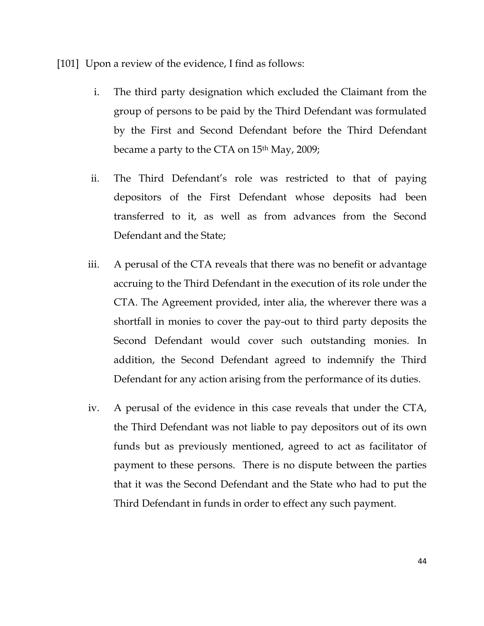[101] Upon a review of the evidence, I find as follows:

- i. The third party designation which excluded the Claimant from the group of persons to be paid by the Third Defendant was formulated by the First and Second Defendant before the Third Defendant became a party to the CTA on 15<sup>th</sup> May, 2009;
- ii. The Third Defendant's role was restricted to that of paying depositors of the First Defendant whose deposits had been transferred to it, as well as from advances from the Second Defendant and the State;
- iii. A perusal of the CTA reveals that there was no benefit or advantage accruing to the Third Defendant in the execution of its role under the CTA. The Agreement provided, inter alia, the wherever there was a shortfall in monies to cover the pay-out to third party deposits the Second Defendant would cover such outstanding monies. In addition, the Second Defendant agreed to indemnify the Third Defendant for any action arising from the performance of its duties.
- iv. A perusal of the evidence in this case reveals that under the CTA, the Third Defendant was not liable to pay depositors out of its own funds but as previously mentioned, agreed to act as facilitator of payment to these persons. There is no dispute between the parties that it was the Second Defendant and the State who had to put the Third Defendant in funds in order to effect any such payment.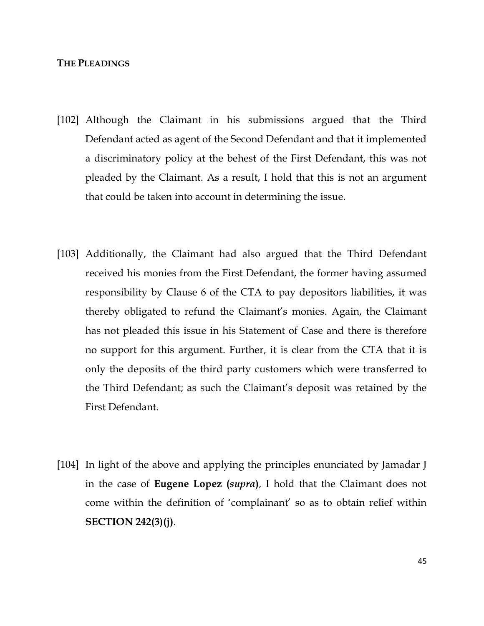### THE PLEADINGS

- [102] Although the Claimant in his submissions argued that the Third Defendant acted as agent of the Second Defendant and that it implemented a discriminatory policy at the behest of the First Defendant, this was not pleaded by the Claimant. As a result, I hold that this is not an argument that could be taken into account in determining the issue.
- [103] Additionally, the Claimant had also argued that the Third Defendant received his monies from the First Defendant, the former having assumed responsibility by Clause 6 of the CTA to pay depositors liabilities, it was thereby obligated to refund the Claimant's monies. Again, the Claimant has not pleaded this issue in his Statement of Case and there is therefore no support for this argument. Further, it is clear from the CTA that it is only the deposits of the third party customers which were transferred to the Third Defendant; as such the Claimant's deposit was retained by the First Defendant.
- [104] In light of the above and applying the principles enunciated by Jamadar J in the case of **Eugene Lopez** (*supra*), I hold that the Claimant does not come within the definition of 'complainant' so as to obtain relief within SECTION 242(3)(j).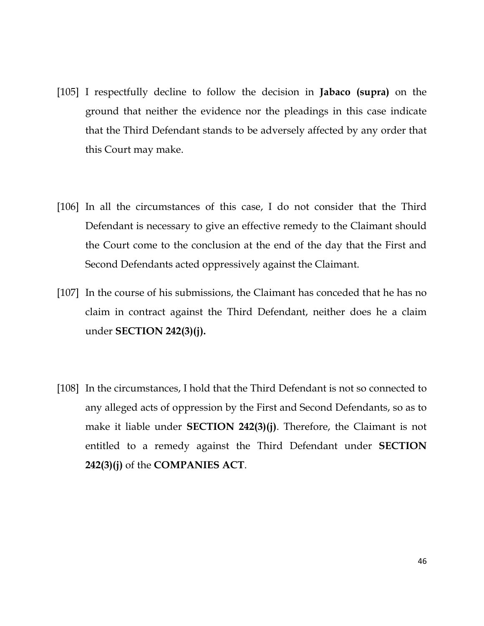- [105] I respectfully decline to follow the decision in Jabaco (supra) on the ground that neither the evidence nor the pleadings in this case indicate that the Third Defendant stands to be adversely affected by any order that this Court may make.
- [106] In all the circumstances of this case, I do not consider that the Third Defendant is necessary to give an effective remedy to the Claimant should the Court come to the conclusion at the end of the day that the First and Second Defendants acted oppressively against the Claimant.
- [107] In the course of his submissions, the Claimant has conceded that he has no claim in contract against the Third Defendant, neither does he a claim under SECTION 242(3)(j).
- [108] In the circumstances, I hold that the Third Defendant is not so connected to any alleged acts of oppression by the First and Second Defendants, so as to make it liable under **SECTION 242(3)(j)**. Therefore, the Claimant is not entitled to a remedy against the Third Defendant under SECTION 242(3)(j) of the COMPANIES ACT.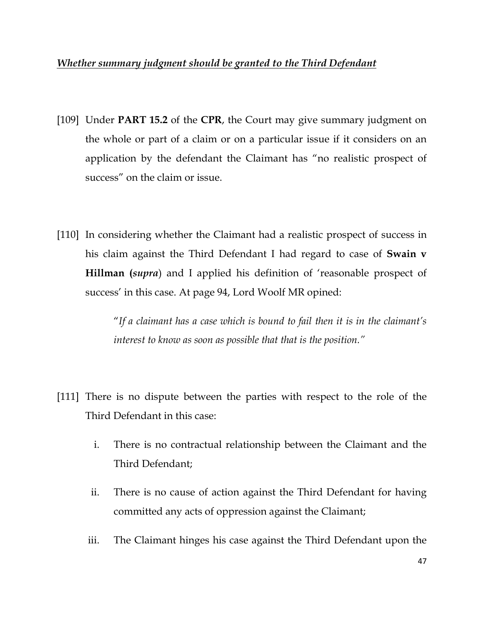# Whether summary judgment should be granted to the Third Defendant

- [109] Under **PART 15.2** of the CPR, the Court may give summary judgment on the whole or part of a claim or on a particular issue if it considers on an application by the defendant the Claimant has "no realistic prospect of success" on the claim or issue.
- [110] In considering whether the Claimant had a realistic prospect of success in his claim against the Third Defendant I had regard to case of **Swain v** Hillman (supra) and I applied his definition of 'reasonable prospect of success' in this case. At page 94, Lord Woolf MR opined:

"If a claimant has a case which is bound to fail then it is in the claimant's interest to know as soon as possible that that is the position."

- [111] There is no dispute between the parties with respect to the role of the Third Defendant in this case:
	- i. There is no contractual relationship between the Claimant and the Third Defendant;
	- ii. There is no cause of action against the Third Defendant for having committed any acts of oppression against the Claimant;
	- iii. The Claimant hinges his case against the Third Defendant upon the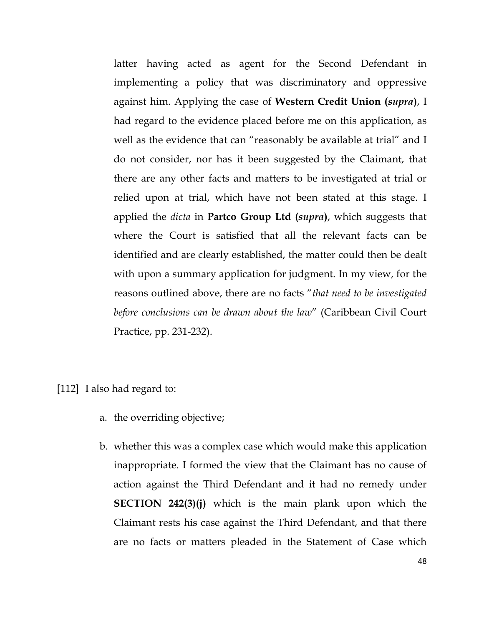latter having acted as agent for the Second Defendant in implementing a policy that was discriminatory and oppressive against him. Applying the case of Western Credit Union (supra), I had regard to the evidence placed before me on this application, as well as the evidence that can "reasonably be available at trial" and I do not consider, nor has it been suggested by the Claimant, that there are any other facts and matters to be investigated at trial or relied upon at trial, which have not been stated at this stage. I applied the *dicta* in **Partco Group Ltd** (*supra*), which suggests that where the Court is satisfied that all the relevant facts can be identified and are clearly established, the matter could then be dealt with upon a summary application for judgment. In my view, for the reasons outlined above, there are no facts "that need to be investigated before conclusions can be drawn about the law" (Caribbean Civil Court Practice, pp. 231-232).

[112] I also had regard to:

- a. the overriding objective;
- b. whether this was a complex case which would make this application inappropriate. I formed the view that the Claimant has no cause of action against the Third Defendant and it had no remedy under **SECTION 242(3)(j)** which is the main plank upon which the Claimant rests his case against the Third Defendant, and that there are no facts or matters pleaded in the Statement of Case which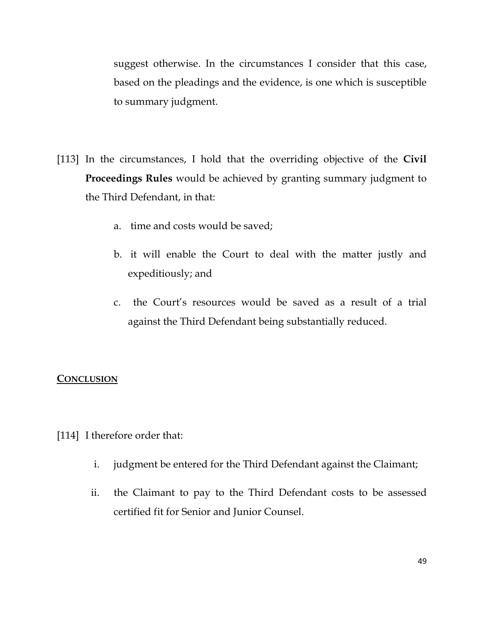suggest otherwise. In the circumstances I consider that this case, based on the pleadings and the evidence, is one which is susceptible to summary judgment.

- [113] In the circumstances, I hold that the overriding objective of the Civil Proceedings Rules would be achieved by granting summary judgment to the Third Defendant, in that:
	- a. time and costs would be saved;
	- b. it will enable the Court to deal with the matter justly and expeditiously; and
	- c. the Court's resources would be saved as a result of a trial against the Third Defendant being substantially reduced.

# **CONCLUSION**

- [114] I therefore order that:
	- i. judgment be entered for the Third Defendant against the Claimant;
	- ii. the Claimant to pay to the Third Defendant costs to be assessed certified fit for Senior and Junior Counsel.